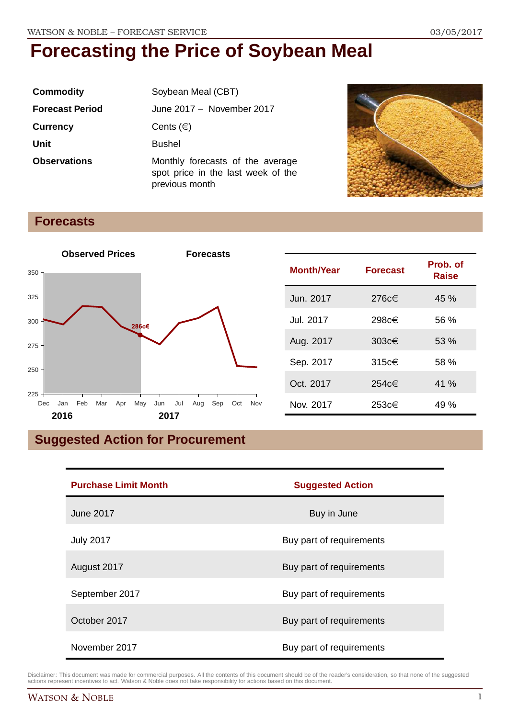| <b>Commodity</b>       | Soybean Meal (CBT)                                                                       |  |
|------------------------|------------------------------------------------------------------------------------------|--|
| <b>Forecast Period</b> | June 2017 - November 2017                                                                |  |
| <b>Currency</b>        | Cents $(\in)$                                                                            |  |
| Unit                   | <b>Bushel</b>                                                                            |  |
| <b>Observations</b>    | Monthly forecasts of the average<br>spot price in the last week of the<br>previous month |  |



### **Forecasts**



| <b>Month/Year</b> | <b>Forecast</b> | Prob. of<br><b>Raise</b> |
|-------------------|-----------------|--------------------------|
| Jun. 2017         | 276c€           | $45 \%$                  |
| Jul. 2017         | 298c€           | 56 %                     |
| Aug. 2017         | $303c \in$      | 53%                      |
| Sep. 2017         | 315c€           | 58 %                     |
| Oct. 2017         | 254c€           | 41%                      |
| Nov. 2017         | 253c€           | 49 %                     |

## **Suggested Action for Procurement**

| <b>Purchase Limit Month</b> | <b>Suggested Action</b>  |  |
|-----------------------------|--------------------------|--|
| June 2017                   | Buy in June              |  |
| <b>July 2017</b>            | Buy part of requirements |  |
| August 2017                 | Buy part of requirements |  |
| September 2017              | Buy part of requirements |  |
| October 2017                | Buy part of requirements |  |
| November 2017               | Buy part of requirements |  |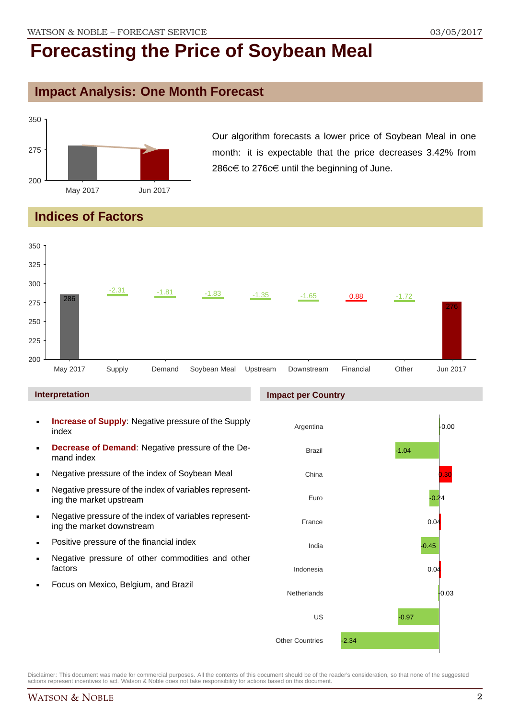### **Impact Analysis: One Month Forecast**



Our algorithm forecasts a lower price of Soybean Meal in one month: it is expectable that the price decreases 3.42% from 286 $c \in$  to 276 $c \in$  until the beginning of June.

## **Indices of Factors**



#### **Interpretation**

- **Increase of Supply**: Negative pressure of the Supply index
- **Decrease of Demand**: Negative pressure of the Demand index
- **Negative pressure of the index of Soybean Meal**
- Negative pressure of the index of variables representing the market upstream
- Negative pressure of the index of variables representing the market downstream
- **•** Positive pressure of the financial index
- **Negative pressure of other commodities and other** factors
- Focus on Mexico, Belgium, and Brazil

#### **Impact per Country**

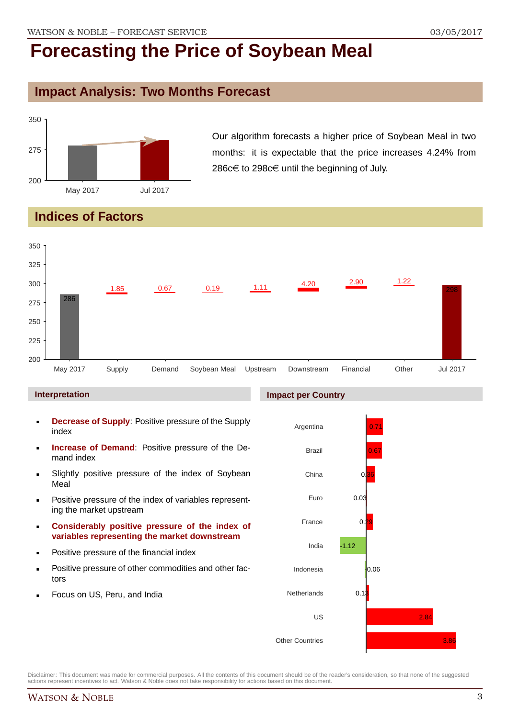### **Impact Analysis: Two Months Forecast**



Our algorithm forecasts a higher price of Soybean Meal in two months: it is expectable that the price increases 4.24% from 286c€ to 298c€ until the beginning of July.

## **Indices of Factors**



#### **Interpretation**

- **Decrease of Supply**: Positive pressure of the Supply index
- **Increase of Demand**: Positive pressure of the Demand index
- **Slightly positive pressure of the index of Soybean** Meal
- Positive pressure of the index of variables representing the market upstream
- **Considerably positive pressure of the index of variables representing the market downstream**
- Positive pressure of the financial index
- Positive pressure of other commodities and other factors
- Focus on US, Peru, and India

#### **Impact per Country**



Disclaimer: This document was made for commercial purposes. All the contents of this document should be of the reader's consideration, so that none of the suggested actions represent incentives to act. Watson & Noble does not take responsibility for actions based on this document.

### WATSON & NOBLE 3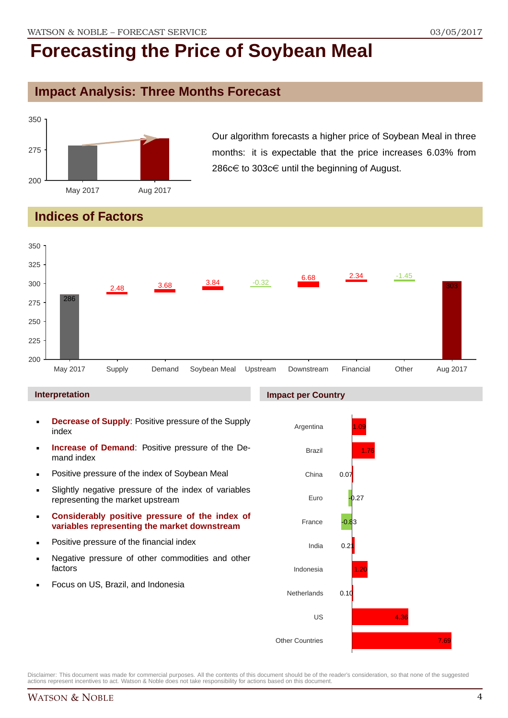### **Impact Analysis: Three Months Forecast**



Our algorithm forecasts a higher price of Soybean Meal in three months: it is expectable that the price increases 6.03% from 286c€ to 303c€ until the beginning of August.

## **Indices of Factors**



#### **Interpretation**

- **Decrease of Supply**: Positive pressure of the Supply index
- **Increase of Demand**: Positive pressure of the Demand index
- **Positive pressure of the index of Soybean Meal**
- Slightly negative pressure of the index of variables representing the market upstream
- **Considerably positive pressure of the index of variables representing the market downstream**
- **•** Positive pressure of the financial index
- **Negative pressure of other commodities and other** factors
- Focus on US, Brazil, and Indonesia

#### **Impact per Country**

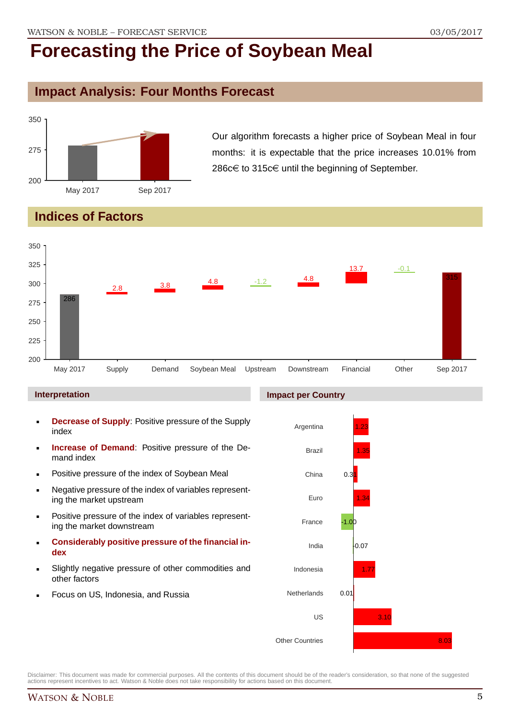## **Impact Analysis: Four Months Forecast**



Our algorithm forecasts a higher price of Soybean Meal in four months: it is expectable that the price increases 10.01% from 286 $c$ € to 315 $c$ € until the beginning of September.

## **Indices of Factors**



#### **Interpretation**

- **Decrease of Supply**: Positive pressure of the Supply index
- **Increase of Demand**: Positive pressure of the Demand index
- **Positive pressure of the index of Soybean Meal**
- Negative pressure of the index of variables representing the market upstream
- Positive pressure of the index of variables representing the market downstream
- **Considerably positive pressure of the financial index**
- Slightly negative pressure of other commodities and other factors
- Focus on US, Indonesia, and Russia

#### **Impact per Country**

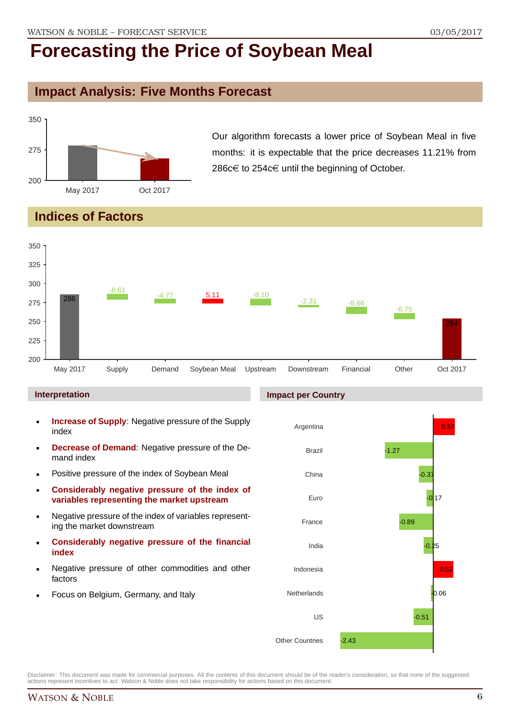### **Impact Analysis: Five Months Forecast**



Our algorithm forecasts a lower price of Soybean Meal in five months: it is expectable that the price decreases 11.21% from 286 $c∈$  to 254 $c∈$  until the beginning of October.

## **Indices of Factors**



#### **Interpretation**

- **Increase of Supply**: Negative pressure of the Supply index
- **Decrease of Demand**: Negative pressure of the Demand index
- **Positive pressure of the index of Soybean Meal**
- **Considerably negative pressure of the index of variables representing the market upstream**
- Negative pressure of the index of variables representing the market downstream
- **Considerably negative pressure of the financial index**
- Negative pressure of other commodities and other factors
- Focus on Belgium, Germany, and Italy

#### **Impact per Country**

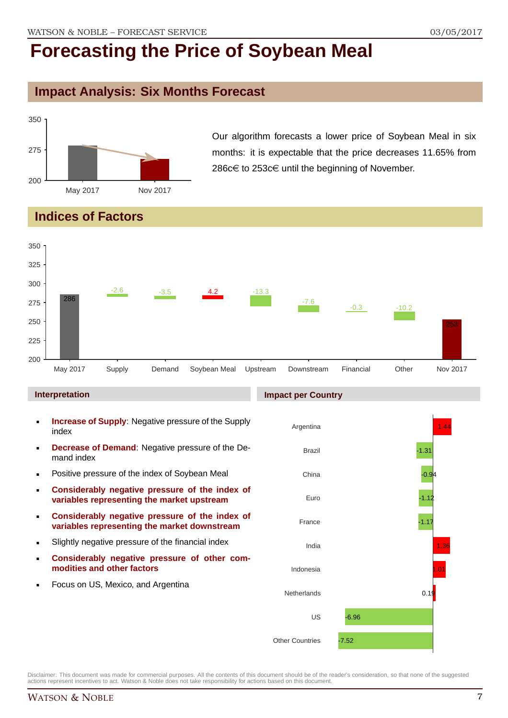### **Impact Analysis: Six Months Forecast**



Our algorithm forecasts a lower price of Soybean Meal in six months: it is expectable that the price decreases 11.65% from 286 $c$ € to 253 $c$ ∈ until the beginning of November.

## **Indices of Factors**



#### **Interpretation**

- **Increase of Supply**: Negative pressure of the Supply index
- **Decrease of Demand**: Negative pressure of the Demand index
- **Positive pressure of the index of Soybean Meal**
- **Considerably negative pressure of the index of variables representing the market upstream**
- **Considerably negative pressure of the index of variables representing the market downstream**
- Slightly negative pressure of the financial index
- **Considerably negative pressure of other commodities and other factors**
- Focus on US, Mexico, and Argentina

#### **Impact per Country**

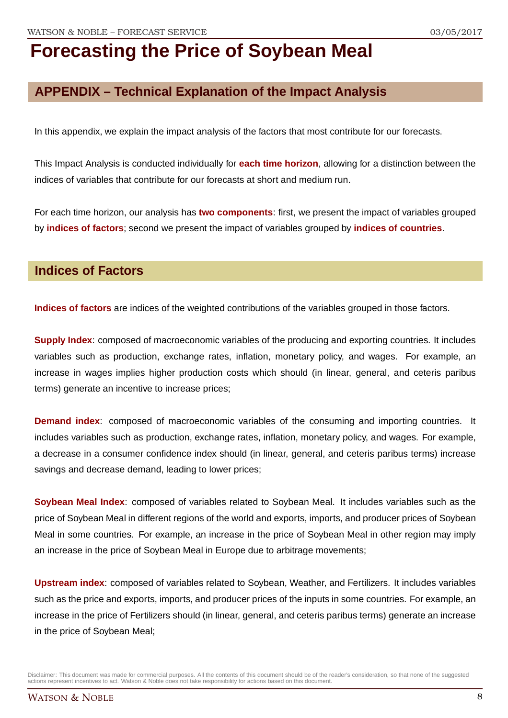## **APPENDIX – Technical Explanation of the Impact Analysis**

In this appendix, we explain the impact analysis of the factors that most contribute for our forecasts.

This Impact Analysis is conducted individually for **each time horizon**, allowing for a distinction between the indices of variables that contribute for our forecasts at short and medium run.

For each time horizon, our analysis has **two components**: first, we present the impact of variables grouped by **indices of factors**; second we present the impact of variables grouped by **indices of countries**.

### **Indices of Factors**

**Indices of factors** are indices of the weighted contributions of the variables grouped in those factors.

**Supply Index**: composed of macroeconomic variables of the producing and exporting countries. It includes variables such as production, exchange rates, inflation, monetary policy, and wages. For example, an increase in wages implies higher production costs which should (in linear, general, and ceteris paribus terms) generate an incentive to increase prices;

**Demand index**: composed of macroeconomic variables of the consuming and importing countries. It includes variables such as production, exchange rates, inflation, monetary policy, and wages. For example, a decrease in a consumer confidence index should (in linear, general, and ceteris paribus terms) increase savings and decrease demand, leading to lower prices;

**Soybean Meal Index**: composed of variables related to Soybean Meal. It includes variables such as the price of Soybean Meal in different regions of the world and exports, imports, and producer prices of Soybean Meal in some countries. For example, an increase in the price of Soybean Meal in other region may imply an increase in the price of Soybean Meal in Europe due to arbitrage movements;

**Upstream index**: composed of variables related to Soybean, Weather, and Fertilizers. It includes variables such as the price and exports, imports, and producer prices of the inputs in some countries. For example, an increase in the price of Fertilizers should (in linear, general, and ceteris paribus terms) generate an increase in the price of Soybean Meal;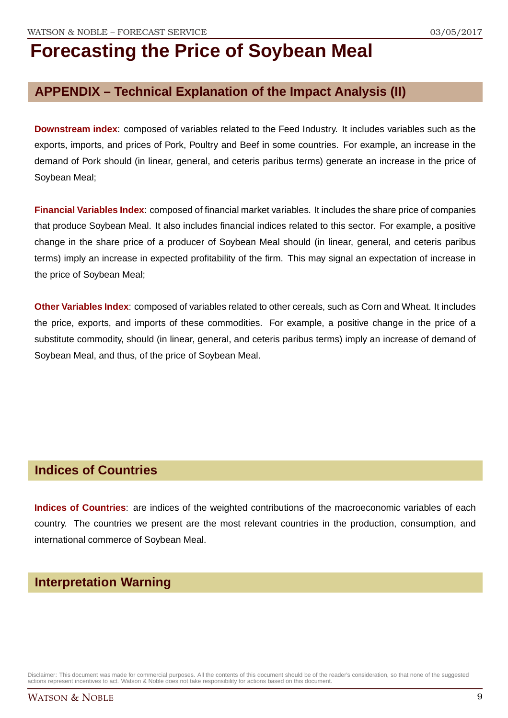## **APPENDIX – Technical Explanation of the Impact Analysis (II)**

**Downstream index**: composed of variables related to the Feed Industry. It includes variables such as the exports, imports, and prices of Pork, Poultry and Beef in some countries. For example, an increase in the demand of Pork should (in linear, general, and ceteris paribus terms) generate an increase in the price of Soybean Meal;

**Financial Variables Index**: composed of financial market variables. It includes the share price of companies that produce Soybean Meal. It also includes financial indices related to this sector. For example, a positive change in the share price of a producer of Soybean Meal should (in linear, general, and ceteris paribus terms) imply an increase in expected profitability of the firm. This may signal an expectation of increase in the price of Soybean Meal;

**Other Variables Index**: composed of variables related to other cereals, such as Corn and Wheat. It includes the price, exports, and imports of these commodities. For example, a positive change in the price of a substitute commodity, should (in linear, general, and ceteris paribus terms) imply an increase of demand of Soybean Meal, and thus, of the price of Soybean Meal.

### **Indices of Countries**

**Indices of Countries**: are indices of the weighted contributions of the macroeconomic variables of each country. The countries we present are the most relevant countries in the production, consumption, and international commerce of Soybean Meal.

### **Interpretation Warning**